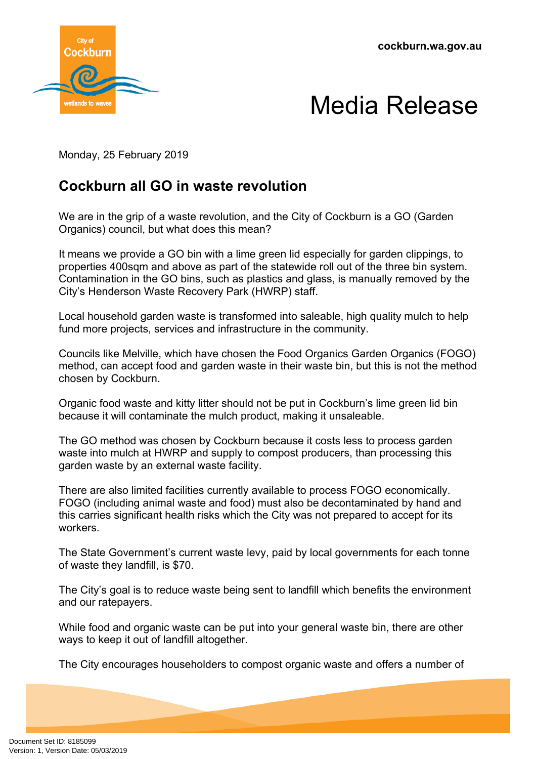**cockburn.wa.gov.au**





Monday, 25 February 2019

## **Cockburn all GO in waste revolution**

We are in the grip of a waste revolution, and the City of Cockburn is a GO (Garden Organics) council, but what does this mean?

It means we provide a GO bin with a lime green lid especially for garden clippings, to properties 400sqm and above as part of the statewide roll out of the three bin system. Contamination in the GO bins, such as plastics and glass, is manually removed by the City's Henderson Waste Recovery Park (HWRP) staff.

Local household garden waste is transformed into saleable, high quality mulch to help fund more projects, services and infrastructure in the community.

Councils like Melville, which have chosen the Food Organics Garden Organics (FOGO) method, can accept food and garden waste in their waste bin, but this is not the method chosen by Cockburn.

Organic food waste and kitty litter should not be put in Cockburn's lime green lid bin because it will contaminate the mulch product, making it unsaleable.

The GO method was chosen by Cockburn because it costs less to process garden waste into mulch at HWRP and supply to compost producers, than processing this garden waste by an external waste facility.

There are also limited facilities currently available to process FOGO economically. FOGO (including animal waste and food) must also be decontaminated by hand and this carries significant health risks which the City was not prepared to accept for its workers.

The State Government's current waste levy, paid by local governments for each tonne of waste they landfill, is \$70.

The City's goal is to reduce waste being sent to landfill which benefits the environment and our ratepayers.

While food and organic waste can be put into your general waste bin, there are other ways to keep it out of landfill altogether.

The City encourages householders to compost organic waste and offers a number of